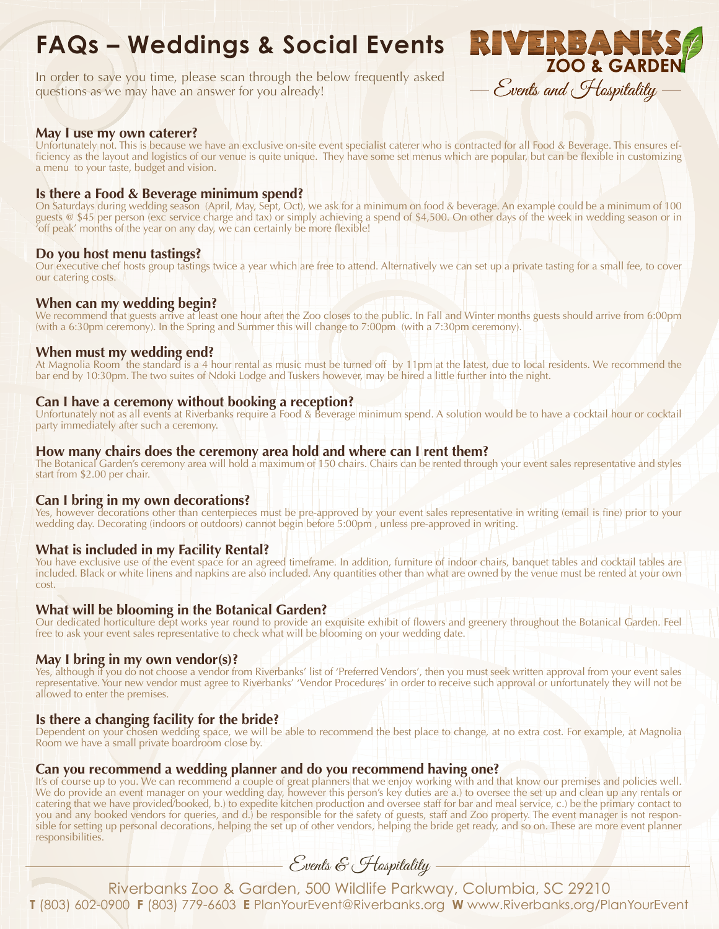# **FAQs – Weddings & Social Events**

In order to save you time, please scan through the below frequently asked questions as we may have an answer for you already!



## **May I use my own caterer?**

Unfortunately not. This is because we have an exclusive on-site event specialist caterer who is contracted for all Food & Beverage. This ensures efficiency as the layout and logistics of our venue is quite unique. They have some set menus which are popular, but can be flexible in customizing a menu to your taste, budget and vision.

## **Is there a Food & Beverage minimum spend?**

On Saturdays during wedding season (April, May, Sept, Oct), we ask for a minimum on food & beverage. An example could be a minimum of 100 guests @ \$45 per person (exc service charge and tax) or simply achieving a spend of \$4,500. On other days of the week in wedding season or in 'off peak' months of the year on any day, we can certainly be more flexible!

## **Do you host menu tastings?**

Our executive chef hosts group tastings twice a year which are free to attend. Alternatively we can set up a private tasting for a small fee, to cover our catering costs.

## **When can my wedding begin?**

We recommend that guests arrive at least one hour after the Zoo closes to the public. In Fall and Winter months guests should arrive from 6:00pm (with a 6:30pm ceremony). In the Spring and Summer this will change to 7:00pm (with a 7:30pm ceremony).

## **When must my wedding end?**

At Magnolia Room the standard is a 4 hour rental as music must be turned off by 11pm at the latest, due to local residents. We recommend the bar end by 10:30pm. The two suites of Ndoki Lodge and Tuskers however, may be hired a little further into the night.

## **Can I have a ceremony without booking a reception?**

Unfortunately not as all events at Riverbanks require a Food & Beverage minimum spend. A solution would be to have a cocktail hour or cocktail party immediately after such a ceremony.

## **How many chairs does the ceremony area hold and where can I rent them?**

The Botanical Garden's ceremony area will hold a maximum of 150 chairs. Chairs can be rented through your event sales representative and styles start from \$2.00 per chair.

## **Can I bring in my own decorations?**

Yes, however decorations other than centerpieces must be pre-approved by your event sales representative in writing (email is fine) prior to your wedding day. Decorating (indoors or outdoors) cannot begin before 5:00pm , unless pre-approved in writing.

## **What is included in my Facility Rental?**

You have exclusive use of the event space for an agreed timeframe. In addition, furniture of indoor chairs, banquet tables and cocktail tables are included. Black or white linens and napkins are also included. Any quantities other than what are owned by the venue must be rented at your own cost.

## **What will be blooming in the Botanical Garden?**

Our dedicated horticulture dept works year round to provide an exquisite exhibit of flowers and greenery throughout the Botanical Garden. Feel free to ask your event sales representative to check what will be blooming on your wedding date.

#### **May I bring in my own vendor(s)?**

Yes, although if you do not choose a vendor from Riverbanks' list of 'Preferred Vendors', then you must seek written approval from your event sales representative. Your new vendor must agree to Riverbanks' 'Vendor Procedures' in order to receive such approval or unfortunately they will not be allowed to enter the premises.

## **Is there a changing facility for the bride?**

Dependent on your chosen wedding space, we will be able to recommend the best place to change, at no extra cost. For example, at Magnolia Room we have a small private boardroom close by.

## **Can you recommend a wedding planner and do you recommend having one?**

It's of course up to you. We can recommend a couple of great planners that we enjoy working with and that know our premises and policies well. We do provide an event manager on your wedding day, however this person's key duties are a.) to oversee the set up and clean up any rentals or catering that we have provided/booked, b.) to expedite kitchen production and oversee staff for bar and meal service, c.) be the primary contact to you and any booked vendors for queries, and d.) be responsible for the safety of guests, staff and Zoo property. The event manager is not responsible for setting up personal decorations, helping the set up of other vendors, helping the bride get ready, and so on. These are more event planner responsibilities.

Events & Hospitality -

Riverbanks Zoo & Garden, 500 Wildlife Parkway, Columbia, SC 29210 **T** (803) 602-0900 **F** (803) 779-6603 **E** PlanYourEvent@Riverbanks.org **W** www.Riverbanks.org/PlanYourEvent